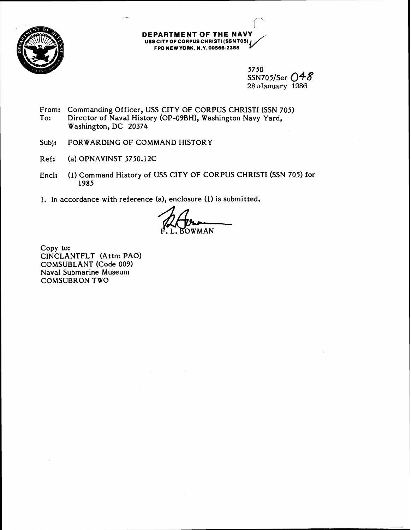

## **DEPARTMENT OF THE NAVY USSClTY OF CORPUSCHRISTI (SSN 705) FARIMENI OF INE NAVI<br>| CITY OF CORPUS CHRISTI (SSN 705)<br>FPO NEW YORK, N.Y. 09566-2385**

5750 SSN705/Ser 048 28 January 1986

- From: Commanding Officer, USS CITY OF CORPUS CHRISTI (SSN 705)<br>To: Director of Naval History (OP-09BH). Washington Navy Yard. Director of Naval History (OP-09BH), Washington Navy Yard, Washington, DC 20374
- Subj: FORWARDING OF COMMAND HISTORY
- Ref: (a) OPNAVINST 5750.12C
- Encl: (I) Command History of USS CITY OF CORPUS CHRISTI (SSN 705) for 1985
- 1. In accordance with reference (a), enclosure (1) is submitted.

P. L. BOWMAN

Copy to: CINCLANTFLT (Attn: PAO) COMSUBLANT (Code 009) Naval Submarine Museum COMSUBRON TWO